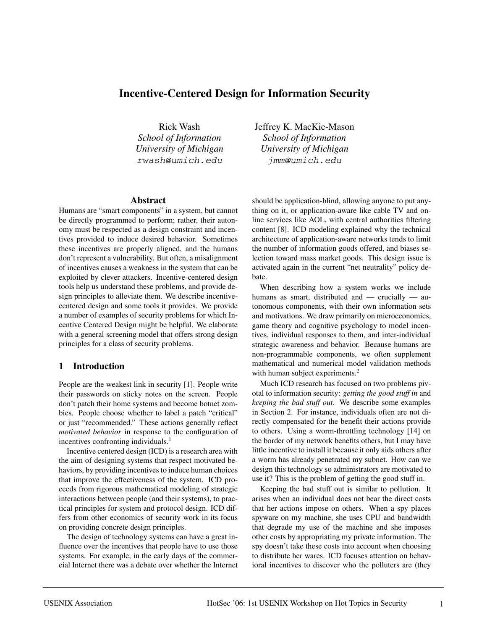# **Incentive-Centered Design for Information Security**

Rick Wash *School of Information University of Michigan* rwash@umich.edu

#### **Abstract**

Humans are "smart components" in a system, but cannot be directly programmed to perform; rather, their autonomy must be respected as a design constraint and incentives provided to induce desired behavior. Sometimes these incentives are properly aligned, and the humans don't represent a vulnerability. But often, a misalignment of incentives causes a weakness in the system that can be exploited by clever attackers. Incentive-centered design tools help us understand these problems, and provide design principles to alleviate them. We describe incentivecentered design and some tools it provides. We provide a number of examples of security problems for which Incentive Centered Design might be helpful. We elaborate with a general screening model that offers strong design principles for a class of security problems.

#### **1 Introduction**

People are the weakest link in security [1]. People write their passwords on sticky notes on the screen. People don't patch their home systems and become botnet zombies. People choose whether to label a patch "critical" or just "recommended." These actions generally reflect *motivated behavior* in response to the configuration of incentives confronting individuals.<sup>1</sup>

Incentive centered design (ICD) is a research area with the aim of designing systems that respect motivated behaviors, by providing incentives to induce human choices that improve the effectiveness of the system. ICD proceeds from rigorous mathematical modeling of strategic interactions between people (and their systems), to practical principles for system and protocol design. ICD differs from other economics of security work in its focus on providing concrete design principles.

The design of technology systems can have a great influence over the incentives that people have to use those systems. For example, in the early days of the commercial Internet there was a debate over whether the Internet Jeffrey K. MacKie-Mason *School of Information University of Michigan* jmm@umich.edu

should be application-blind, allowing anyone to put anything on it, or application-aware like cable TV and online services like AOL, with central authorities filtering content [8]. ICD modeling explained why the technical architecture of application-aware networks tends to limit the number of information goods offered, and biases selection toward mass market goods. This design issue is activated again in the current "net neutrality" policy debate.

When describing how a system works we include humans as smart, distributed and — crucially — autonomous components, with their own information sets and motivations. We draw primarily on microeconomics, game theory and cognitive psychology to model incentives, individual responses to them, and inter-individual strategic awareness and behavior. Because humans are non-programmable components, we often supplement mathematical and numerical model validation methods with human subject experiments.<sup>2</sup>

Much ICD research has focused on two problems pivotal to information security: *getting the good stuff in* and *keeping the bad stuff out*. We describe some examples in Section 2. For instance, individuals often are not directly compensated for the benefit their actions provide to others. Using a worm-throttling technology [14] on the border of my network benefits others, but I may have little incentive to install it because it only aids others after a worm has already penetrated my subnet. How can we design this technology so administrators are motivated to use it? This is the problem of getting the good stuff in.

Keeping the bad stuff out is similar to pollution. It arises when an individual does not bear the direct costs that her actions impose on others. When a spy places spyware on my machine, she uses CPU and bandwidth that degrade my use of the machine and she imposes other costs by appropriating my private information. The spy doesn't take these costs into account when choosing to distribute her wares. ICD focuses attention on behavioral incentives to discover who the polluters are (they

1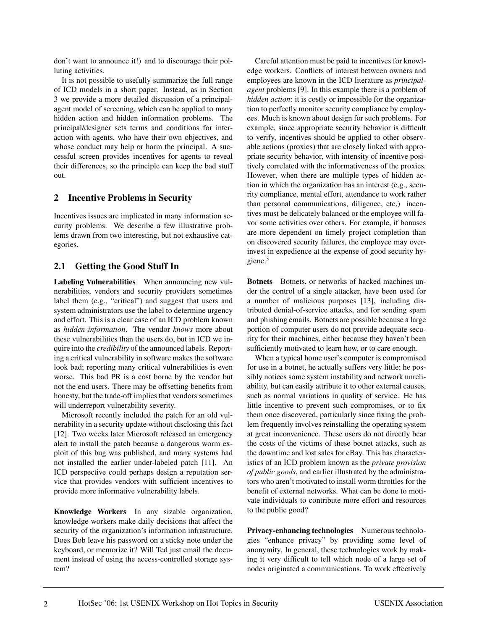don't want to announce it!) and to discourage their polluting activities.

It is not possible to usefully summarize the full range of ICD models in a short paper. Instead, as in Section 3 we provide a more detailed discussion of a principalagent model of screening, which can be applied to many hidden action and hidden information problems. The principal/designer sets terms and conditions for interaction with agents, who have their own objectives, and whose conduct may help or harm the principal. A successful screen provides incentives for agents to reveal their differences, so the principle can keep the bad stuff out.

### **2 Incentive Problems in Security**

Incentives issues are implicated in many information security problems. We describe a few illustrative problems drawn from two interesting, but not exhaustive categories.

## **2.1 Getting the Good Stuff In**

**Labeling Vulnerabilities** When announcing new vulnerabilities, vendors and security providers sometimes label them (e.g., "critical") and suggest that users and system administrators use the label to determine urgency and effort. This is a clear case of an ICD problem known as *hidden information*. The vendor *knows* more about these vulnerabilities than the users do, but in ICD we inquire into the *credibility* of the announced labels. Reporting a critical vulnerability in software makes the software look bad; reporting many critical vulnerabilities is even worse. This bad PR is a cost borne by the vendor but not the end users. There may be offsetting benefits from honesty, but the trade-off implies that vendors sometimes will underreport vulnerability severity.

Microsoft recently included the patch for an old vulnerability in a security update without disclosing this fact [12]. Two weeks later Microsoft released an emergency alert to install the patch because a dangerous worm exploit of this bug was published, and many systems had not installed the earlier under-labeled patch [11]. An ICD perspective could perhaps design a reputation service that provides vendors with sufficient incentives to provide more informative vulnerability labels.

**Knowledge Workers** In any sizable organization, knowledge workers make daily decisions that affect the security of the organization's information infrastructure. Does Bob leave his password on a sticky note under the keyboard, or memorize it? Will Ted just email the document instead of using the access-controlled storage system?

Careful attention must be paid to incentives for knowledge workers. Conflicts of interest between owners and employees are known in the ICD literature as *principalagent* problems [9]. In this example there is a problem of *hidden action*: it is costly or impossible for the organization to perfectly monitor security compliance by employees. Much is known about design for such problems. For example, since appropriate security behavior is difficult to verify, incentives should be applied to other observable actions (proxies) that are closely linked with appropriate security behavior, with intensity of incentive positively correlated with the informativeness of the proxies. However, when there are multiple types of hidden action in which the organization has an interest (e.g., security compliance, mental effort, attendance to work rather than personal communications, diligence, etc.) incentives must be delicately balanced or the employee will favor some activities over others. For example, if bonuses are more dependent on timely project completion than on discovered security failures, the employee may overinvest in expedience at the expense of good security hygiene.<sup>3</sup>

**Botnets** Botnets, or networks of hacked machines under the control of a single attacker, have been used for a number of malicious purposes [13], including distributed denial-of-service attacks, and for sending spam and phishing emails. Botnets are possible because a large portion of computer users do not provide adequate security for their machines, either because they haven't been sufficiently motivated to learn how, or to care enough.

When a typical home user's computer is compromised for use in a botnet, he actually suffers very little; he possibly notices some system instability and network unreliability, but can easily attribute it to other external causes, such as normal variations in quality of service. He has little incentive to prevent such compromises, or to fix them once discovered, particularly since fixing the problem frequently involves reinstalling the operating system at great inconvenience. These users do not directly bear the costs of the victims of these botnet attacks, such as the downtime and lost sales for eBay. This has characteristics of an ICD problem known as the *private provision of public goods*, and earlier illustrated by the administrators who aren't motivated to install worm throttles for the benefit of external networks. What can be done to motivate individuals to contribute more effort and resources to the public good?

**Privacy-enhancing technologies** Numerous technologies "enhance privacy" by providing some level of anonymity. In general, these technologies work by making it very difficult to tell which node of a large set of nodes originated a communications. To work effectively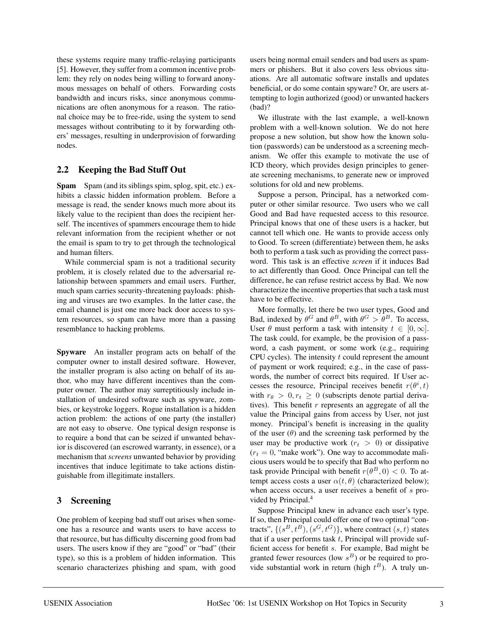these systems require many traffic-relaying participants [5]. However, they suffer from a common incentive problem: they rely on nodes being willing to forward anonymous messages on behalf of others. Forwarding costs bandwidth and incurs risks, since anonymous communications are often anonymous for a reason. The rational choice may be to free-ride, using the system to send messages without contributing to it by forwarding others' messages, resulting in underprovision of forwarding nodes.

### **2.2 Keeping the Bad Stuff Out**

**Spam** Spam (and its siblings spim, splog, spit, etc.) exhibits a classic hidden information problem. Before a message is read, the sender knows much more about its likely value to the recipient than does the recipient herself. The incentives of spammers encourage them to hide relevant information from the recipient whether or not the email is spam to try to get through the technological and human filters.

While commercial spam is not a traditional security problem, it is closely related due to the adversarial relationship between spammers and email users. Further, much spam carries security-threatening payloads: phishing and viruses are two examples. In the latter case, the email channel is just one more back door access to system resources, so spam can have more than a passing resemblance to hacking problems.

**Spyware** An installer program acts on behalf of the computer owner to install desired software. However, the installer program is also acting on behalf of its author, who may have different incentives than the computer owner. The author may surreptitiously include installation of undesired software such as spyware, zombies, or keystroke loggers. Rogue installation is a hidden action problem: the actions of one party (the installer) are not easy to observe. One typical design response is to require a bond that can be seized if unwanted behavior is discovered (an escrowed warranty, in essence), or a mechanism that *screens* unwanted behavior by providing incentives that induce legitimate to take actions distinguishable from illegitimate installers.

## **3 Screening**

One problem of keeping bad stuff out arises when someone has a resource and wants users to have access to that resource, but has difficulty discerning good from bad users. The users know if they are "good" or "bad" (their type), so this is a problem of hidden information. This scenario characterizes phishing and spam, with good users being normal email senders and bad users as spammers or phishers. But it also covers less obvious situations. Are all automatic software installs and updates beneficial, or do some contain spyware? Or, are users attempting to login authorized (good) or unwanted hackers (bad)?

We illustrate with the last example, a well-known problem with a well-known solution. We do not here propose a new solution, but show how the known solution (passwords) can be understood as a screening mechanism. We offer this example to motivate the use of ICD theory, which provides design principles to generate screening mechanisms, to generate new or improved solutions for old and new problems.

Suppose a person, Principal, has a networked computer or other similar resource. Two users who we call Good and Bad have requested access to this resource. Principal knows that one of these users is a hacker, but cannot tell which one. He wants to provide access only to Good. To screen (differentiate) between them, he asks both to perform a task such as providing the correct password. This task is an effective *screen* if it induces Bad to act differently than Good. Once Principal can tell the difference, he can refuse restrict access by Bad. We now characterize the incentive properties that such a task must have to be effective.

More formally, let there be two user types, Good and Bad, indexed by  $\theta^G$  and  $\theta^B$ , with  $\theta^G > \theta^B$ . To access, User  $\theta$  must perform a task with intensity  $t \in [0,\infty]$ . The task could, for example, be the provision of a password, a cash payment, or some work (e.g., requiring CPU cycles). The intensity  $t$  could represent the amount of payment or work required; e.g., in the case of passwords, the number of correct bits required. If User accesses the resource, Principal receives benefit  $r(\theta^i, t)$ with  $r_{\theta} > 0, r_t \ge 0$  (subscripts denote partial derivatives). This benefit  $r$  represents an aggregate of all the value the Principal gains from access by User, not just money. Principal's benefit is increasing in the quality of the user  $(\theta)$  and the screening task performed by the user may be productive work  $(r_t > 0)$  or dissipative  $(r_t = 0, \text{ "make work").}$  One way to accommodate malicious users would be to specify that Bad who perform no task provide Principal with benefit  $r(\theta^B, 0) < 0$ . To attempt access costs a user  $\alpha(t, \theta)$  (characterized below); when access occurs, a user receives a benefit of  $s$  provided by Principal.<sup>4</sup>

Suppose Principal knew in advance each user's type. If so, then Principal could offer one of two optimal "contracts",  $\{(s^B, t^B), (s^G, t^G)\}$ , where contract  $(s, t)$  states that if a user performs task  $t$ , Principal will provide sufficient access for benefit s. For example, Bad might be granted fewer resources (low  $s^B$ ) or be required to provide substantial work in return (high  $t^B$ ). A truly un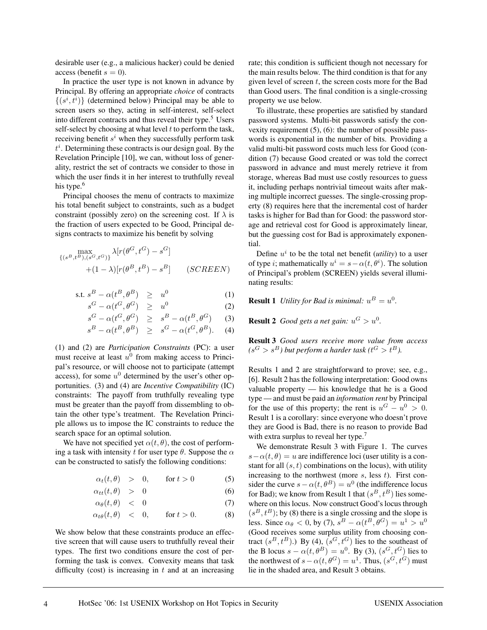desirable user (e.g., a malicious hacker) could be denied access (benefit  $s = 0$ ).

In practice the user type is not known in advance by Principal. By offering an appropriate *choice* of contracts  $\{(s^i, t^i)\}\$  (determined below) Principal may be able to screen users so they, acting in self-interest, self-select into different contracts and thus reveal their type.<sup>5</sup> Users self-select by choosing at what level  $t$  to perform the task, receiving benefit  $s<sup>i</sup>$  when they successfully perform task  $t^i$ . Determining these contracts is our design goal. By the Revelation Principle [10], we can, without loss of generality, restrict the set of contracts we consider to those in which the user finds it in her interest to truthfully reveal his type.<sup>6</sup>

Principal chooses the menu of contracts to maximize his total benefit subject to constraints, such as a budget constraint (possibly zero) on the screening cost. If  $\lambda$  is the fraction of users expected to be Good, Principal designs contracts to maximize his benefit by solving

$$
\max_{\{(s^B, t^B), (s^G, t^G)\}} \lambda[r(\theta^G, t^G) - s^G]
$$

$$
+(1 - \lambda)[r(\theta^B, t^B) - s^B] \qquad (SCREEN)
$$

$$
\text{s.t. } s^B - \alpha(t^B, \theta^B) \ge u^0 \tag{1}
$$

$$
s^G - \alpha(t^G, \theta^G) \geq u^0 \tag{2}
$$

$$
s^{G} - \alpha(t^{G}, \theta^{G}) \geq s^{B} - \alpha(t^{B}, \theta^{G}) \qquad (3)
$$

$$
s^B - \alpha(t^B, \theta^B) \geq s^G - \alpha(t^G, \theta^B). \tag{4}
$$

(1) and (2) are *Participation Constraints* (PC): a user must receive at least  $u^0$  from making access to Principal's resource, or will choose not to participate (attempt access), for some  $u^0$  determined by the user's other opportunities. (3) and (4) are *Incentive Compatibility* (IC) constraints: The payoff from truthfully revealing type must be greater than the payoff from dissembling to obtain the other type's treatment. The Revelation Principle allows us to impose the IC constraints to reduce the search space for an optimal solution.

We have not specified yet  $\alpha(t, \theta)$ , the cost of performing a task with intensity t for user type  $\theta$ . Suppose the  $\alpha$ can be constructed to satisfy the following conditions:

$$
\alpha_t(t,\theta) > 0, \qquad \text{for } t > 0 \tag{5}
$$

$$
\alpha_{tt}(t,\theta) > 0 \tag{6}
$$

$$
\alpha_{\theta}(t,\theta) \quad < \quad 0 \tag{7}
$$

$$
\alpha_{t\theta}(t,\theta) < 0, \quad \text{for } t > 0. \tag{8}
$$

We show below that these constraints produce an effective screen that will cause users to truthfully reveal their types. The first two conditions ensure the cost of performing the task is convex. Convexity means that task difficulty (cost) is increasing in  $t$  and at an increasing rate; this condition is sufficient though not necessary for the main results below. The third condition is that for any given level of screen  $t$ , the screen costs more for the Bad than Good users. The final condition is a single-crossing property we use below.

To illustrate, these properties are satisfied by standard password systems. Multi-bit passwords satisfy the convexity requirement  $(5)$ ,  $(6)$ : the number of possible passwords is exponential in the number of bits. Providing a valid multi-bit password costs much less for Good (condition (7) because Good created or was told the correct password in advance and must merely retrieve it from storage, whereas Bad must use costly resources to guess it, including perhaps nontrivial timeout waits after making multiple incorrect guesses. The single-crossing property (8) requires here that the incremental cost of harder tasks is higher for Bad than for Good: the password storage and retrieval cost for Good is approximately linear, but the guessing cost for Bad is approximately exponential.

Define  $u^i$  to be the total net benefit *(utility)* to a user of type *i*; mathematically  $u^i = s - \alpha(t, \theta^i)$ . The solution of Principal's problem (SCREEN) yields several illuminating results:

**Result 1** *Utility for Bad is minimal:*  $u^B = u^0$ .

**Result 2** *Good gets a net gain:*  $u^G > u^0$ .

**Result 3** *Good users receive more value from access*  $(s^G > s^B)$  but perform a harder task ( $t^G > t^B$ ).

Results 1 and 2 are straightforward to prove; see, e.g., [6]. Result 2 has the following interpretation: Good owns valuable property — his knowledge that he is a Good type — and must be paid an *information rent* by Principal for the use of this property; the rent is  $u^G - u^0 > 0$ . Result 1 is a corollary: since everyone who doesn't prove they are Good is Bad, there is no reason to provide Bad with extra surplus to reveal her type.<sup>7</sup>

We demonstrate Result 3 with Figure 1. The curves  $s-\alpha(t, \theta) = u$  are indifference loci (user utility is a constant for all  $(s, t)$  combinations on the locus), with utility increasing to the northwest (more  $s$ , less  $t$ ). First consider the curve  $s - \alpha(t, \theta^B) = u^0$  (the indifference locus for Bad); we know from Result 1 that  $(s^B, t^B)$  lies somewhere on this locus. Now construct Good's locus through  $(s<sup>B</sup>, t<sup>B</sup>)$ ; by (8) there is a single crossing and the slope is less. Since  $\alpha_{\theta} < 0$ , by (7),  $s^B - \alpha(t^B, \theta^G) = u^1 > u^0$ (Good receives some surplus utility from choosing contract  $(s^B, t^B)$ .) By (4),  $(s^G, t^G)$  lies to the southeast of the B locus  $s - \alpha(t, \theta^B) = u^0$ . By (3),  $(s^G, t^G)$  lies to the northwest of  $s - \alpha(t, \theta^G) = u^1$ . Thus,  $(s^G, t^G)$  must lie in the shaded area, and Result 3 obtains.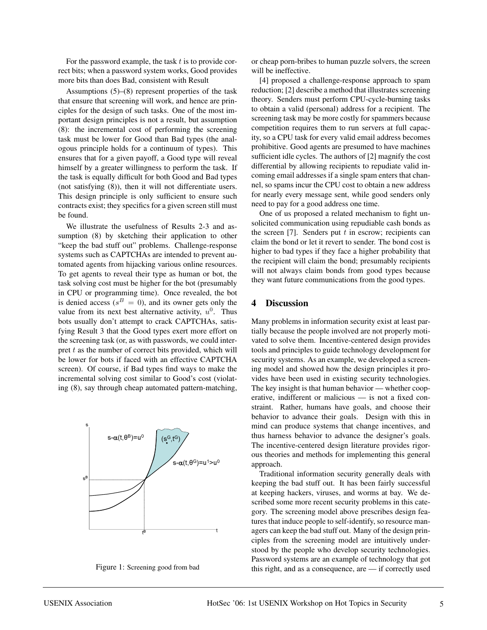For the password example, the task  $t$  is to provide correct bits; when a password system works, Good provides more bits than does Bad, consistent with Result

Assumptions (5)–(8) represent properties of the task that ensure that screening will work, and hence are principles for the design of such tasks. One of the most important design principles is not a result, but assumption (8): the incremental cost of performing the screening task must be lower for Good than Bad types (the analogous principle holds for a continuum of types). This ensures that for a given payoff, a Good type will reveal himself by a greater willingness to perform the task. If the task is equally difficult for both Good and Bad types (not satisfying (8)), then it will not differentiate users. This design principle is only sufficient to ensure such contracts exist; they specifics for a given screen still must be found.

We illustrate the usefulness of Results 2-3 and assumption (8) by sketching their application to other "keep the bad stuff out" problems. Challenge-response systems such as CAPTCHAs are intended to prevent automated agents from hijacking various online resources. To get agents to reveal their type as human or bot, the task solving cost must be higher for the bot (presumably in CPU or programming time). Once revealed, the bot is denied access ( $s^B = 0$ ), and its owner gets only the value from its next best alternative activity,  $u^0$ . Thus bots usually don't attempt to crack CAPTCHAs, satisfying Result 3 that the Good types exert more effort on the screening task (or, as with passwords, we could interpret  $t$  as the number of correct bits provided, which will be lower for bots if faced with an effective CAPTCHA screen). Of course, if Bad types find ways to make the incremental solving cost similar to Good's cost (violating (8), say through cheap automated pattern-matching,



Figure 1: Screening good from bad

or cheap porn-bribes to human puzzle solvers, the screen will be ineffective.

[4] proposed a challenge-response approach to spam reduction; [2] describe a method that illustrates screening theory. Senders must perform CPU-cycle-burning tasks to obtain a valid (personal) address for a recipient. The screening task may be more costly for spammers because competition requires them to run servers at full capacity, so a CPU task for every valid email address becomes prohibitive. Good agents are presumed to have machines sufficient idle cycles. The authors of [2] magnify the cost differential by allowing recipients to repudiate valid incoming email addresses if a single spam enters that channel, so spams incur the CPU cost to obtain a new address for nearly every message sent, while good senders only need to pay for a good address one time.

One of us proposed a related mechanism to fight unsolicited communication using repudiable cash bonds as the screen  $[7]$ . Senders put t in escrow; recipients can claim the bond or let it revert to sender. The bond cost is higher to bad types if they face a higher probability that the recipient will claim the bond; presumably recipients will not always claim bonds from good types because they want future communications from the good types.

### **4 Discussion**

Many problems in information security exist at least partially because the people involved are not properly motivated to solve them. Incentive-centered design provides tools and principles to guide technology development for security systems. As an example, we developed a screening model and showed how the design principles it provides have been used in existing security technologies. The key insight is that human behavior — whether cooperative, indifferent or malicious — is not a fixed constraint. Rather, humans have goals, and choose their behavior to advance their goals. Design with this in mind can produce systems that change incentives, and thus harness behavior to advance the designer's goals. The incentive-centered design literature provides rigorous theories and methods for implementing this general approach.

Traditional information security generally deals with keeping the bad stuff out. It has been fairly successful at keeping hackers, viruses, and worms at bay. We described some more recent security problems in this category. The screening model above prescribes design features that induce people to self-identify, so resource managers can keep the bad stuff out. Many of the design principles from the screening model are intuitively understood by the people who develop security technologies. Password systems are an example of technology that got this right, and as a consequence, are — if correctly used